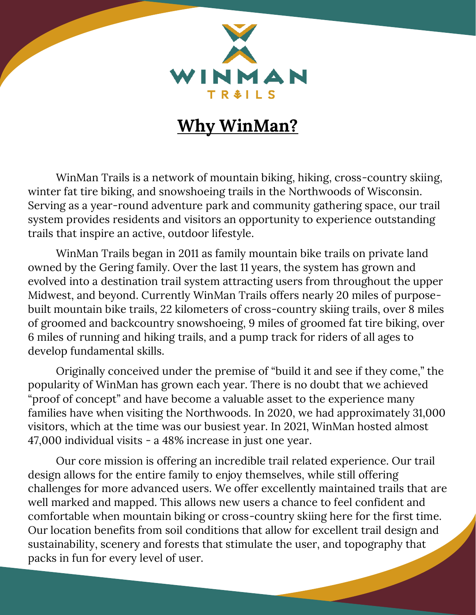

## **Why WinMan?**

WinMan Trails is a network of mountain biking, hiking, cross-country skiing, winter fat tire biking, and snowshoeing trails in the Northwoods of Wisconsin. Serving as a year-round adventure park and community gathering space, our trail system provides residents and visitors an opportunity to experience outstanding trails that inspire an active, outdoor lifestyle.

WinMan Trails began in 2011 as family mountain bike trails on private land owned by the Gering family. Over the last 11 years, the system has grown and evolved into a destination trail system attracting users from throughout the upper Midwest, and beyond. Currently WinMan Trails offers nearly 20 miles of purposebuilt mountain bike trails, 22 kilometers of cross-country skiing trails, over 8 miles of groomed and backcountry snowshoeing, 9 miles of groomed fat tire biking, over 6 miles of running and hiking trails, and a pump track for riders of all ages to develop fundamental skills.

Originally conceived under the premise of "build it and see if they come," the popularity of WinMan has grown each year. There is no doubt that we achieved "proof of concept" and have become a valuable asset to the experience many families have when visiting the Northwoods. In 2020, we had approximately 31,000 visitors, which at the time was our busiest year. In 2021, WinMan hosted almost 47,000 individual visits - a 48% increase in just one year.

Our core mission is offering an incredible trail related experience. Our trail design allows for the entire family to enjoy themselves, while still offering challenges for more advanced users. We offer excellently maintained trails that are well marked and mapped. This allows new users a chance to feel confident and comfortable when mountain biking or cross-country skiing here for the first time. Our location benefits from soil conditions that allow for excellent trail design and sustainability, scenery and forests that stimulate the user, and topography that packs in fun for every level of user.